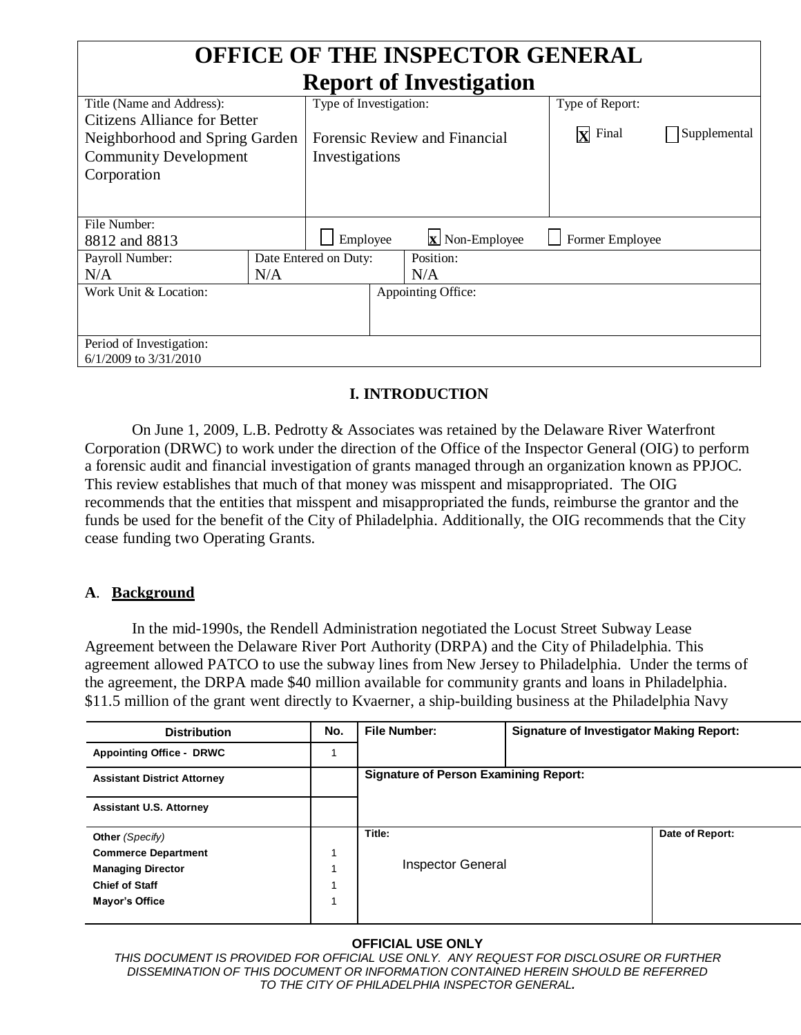| <b>OFFICE OF THE INSPECTOR GENERAL</b> |     |                                       |                    |                 |              |  |
|----------------------------------------|-----|---------------------------------------|--------------------|-----------------|--------------|--|
| <b>Report of Investigation</b>         |     |                                       |                    |                 |              |  |
| Title (Name and Address):              |     | Type of Investigation:                |                    | Type of Report: |              |  |
| <b>Citizens Alliance for Better</b>    |     |                                       |                    |                 |              |  |
| Neighborhood and Spring Garden         |     | Forensic Review and Financial         |                    | lxl<br>Final    | Supplemental |  |
| <b>Community Development</b>           |     | Investigations                        |                    |                 |              |  |
| Corporation                            |     |                                       |                    |                 |              |  |
|                                        |     |                                       |                    |                 |              |  |
|                                        |     |                                       |                    |                 |              |  |
| File Number:                           |     |                                       |                    |                 |              |  |
| 8812 and 8813                          |     | $\mathbf{x}$ Non-Employee<br>Employee |                    | Former Employee |              |  |
| Payroll Number:                        |     | Date Entered on Duty:                 |                    | Position:       |              |  |
| N/A                                    | N/A |                                       |                    | N/A             |              |  |
| Work Unit & Location:                  |     |                                       | Appointing Office: |                 |              |  |
|                                        |     |                                       |                    |                 |              |  |
|                                        |     |                                       |                    |                 |              |  |
| Period of Investigation:               |     |                                       |                    |                 |              |  |
| $6/1/2009$ to $3/31/2010$              |     |                                       |                    |                 |              |  |

# **I. INTRODUCTION**

On June 1, 2009, L.B. Pedrotty & Associates was retained by the Delaware River Waterfront Corporation (DRWC) to work under the direction of the Office of the Inspector General (OIG) to perform a forensic audit and financial investigation of grants managed through an organization known as PPJOC. This review establishes that much of that money was misspent and misappropriated. The OIG recommends that the entities that misspent and misappropriated the funds, reimburse the grantor and the funds be used for the benefit of the City of Philadelphia. Additionally, the OIG recommends that the City cease funding two Operating Grants.

#### **A**. **Background**

In the mid-1990s, the Rendell Administration negotiated the Locust Street Subway Lease Agreement between the Delaware River Port Authority (DRPA) and the City of Philadelphia. This agreement allowed PATCO to use the subway lines from New Jersey to Philadelphia. Under the terms of the agreement, the DRPA made \$40 million available for community grants and loans in Philadelphia. \$11.5 million of the grant went directly to Kvaerner, a ship-building business at the Philadelphia Navy

| <b>Distribution</b>                | No. | <b>File Number:</b>                          | <b>Signature of Investigator Making Report:</b> |                 |
|------------------------------------|-----|----------------------------------------------|-------------------------------------------------|-----------------|
| <b>Appointing Office - DRWC</b>    |     |                                              |                                                 |                 |
| <b>Assistant District Attorney</b> |     | <b>Signature of Person Examining Report:</b> |                                                 |                 |
| <b>Assistant U.S. Attorney</b>     |     |                                              |                                                 |                 |
| Other (Specify)                    |     | Title:                                       |                                                 | Date of Report: |
| <b>Commerce Department</b>         |     |                                              |                                                 |                 |
| <b>Managing Director</b>           |     | <b>Inspector General</b>                     |                                                 |                 |
| <b>Chief of Staff</b>              |     |                                              |                                                 |                 |
| Mayor's Office                     |     |                                              |                                                 |                 |
|                                    |     |                                              |                                                 |                 |

#### **OFFICIAL USE ONLY**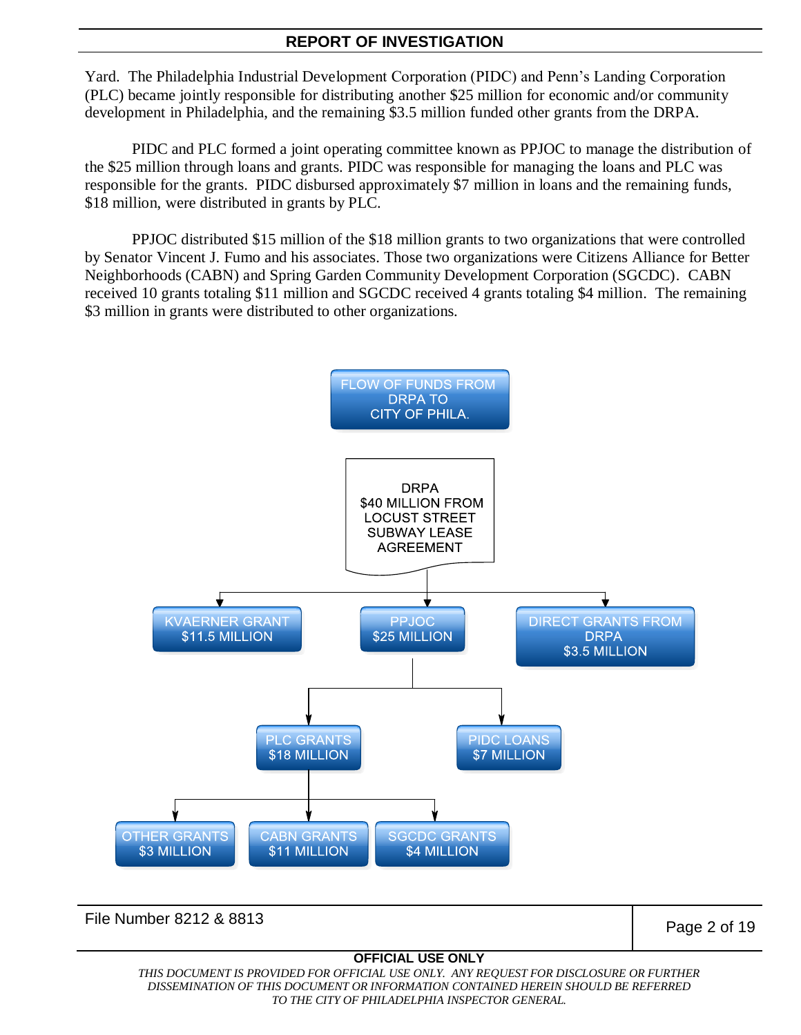Yard. The Philadelphia Industrial Development Corporation (PIDC) and Penn's Landing Corporation (PLC) became jointly responsible for distributing another \$25 million for economic and/or community development in Philadelphia, and the remaining \$3.5 million funded other grants from the DRPA.

PIDC and PLC formed a joint operating committee known as PPJOC to manage the distribution of the \$25 million through loans and grants. PIDC was responsible for managing the loans and PLC was responsible for the grants. PIDC disbursed approximately \$7 million in loans and the remaining funds, \$18 million, were distributed in grants by PLC.

PPJOC distributed \$15 million of the \$18 million grants to two organizations that were controlled by Senator Vincent J. Fumo and his associates. Those two organizations were Citizens Alliance for Better Neighborhoods (CABN) and Spring Garden Community Development Corporation (SGCDC). CABN received 10 grants totaling \$11 million and SGCDC received 4 grants totaling \$4 million. The remaining \$3 million in grants were distributed to other organizations.



File Number 8212 & 8813 **Page 2 of 19** 

#### **OFFICIAL USE ONLY**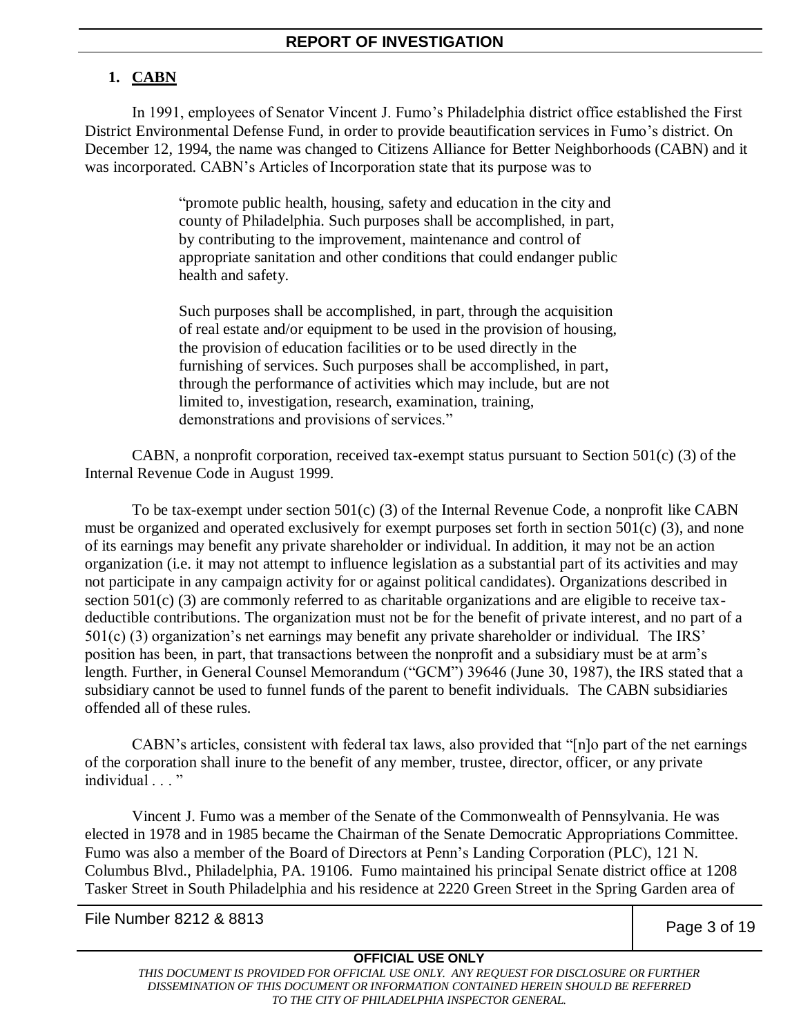# **1. CABN**

In 1991, employees of Senator Vincent J. Fumo's Philadelphia district office established the First District Environmental Defense Fund, in order to provide beautification services in Fumo's district. On December 12, 1994, the name was changed to Citizens Alliance for Better Neighborhoods (CABN) and it was incorporated. CABN's Articles of Incorporation state that its purpose was to

> "promote public health, housing, safety and education in the city and county of Philadelphia. Such purposes shall be accomplished, in part, by contributing to the improvement, maintenance and control of appropriate sanitation and other conditions that could endanger public health and safety.

> Such purposes shall be accomplished, in part, through the acquisition of real estate and/or equipment to be used in the provision of housing, the provision of education facilities or to be used directly in the furnishing of services. Such purposes shall be accomplished, in part, through the performance of activities which may include, but are not limited to, investigation, research, examination, training, demonstrations and provisions of services."

CABN, a nonprofit corporation, received tax-exempt status pursuant to Section 501(c) (3) of the Internal Revenue Code in August 1999.

To be tax-exempt under section 501(c) (3) of the Internal Revenue Code, a nonprofit like CABN must be organized and operated exclusively for exempt purposes set forth in section  $501(c)$  (3), and none of its earnings may benefit any private shareholder or individual. In addition, it may not be an action organization (i.e. it may not attempt to influence legislation as a substantial part of its activities and may not participate in any campaign activity for or against political candidates). Organizations described in section 501(c) (3) are commonly referred to as charitable organizations and are eligible to receive taxdeductible contributions. The organization must not be for the benefit of private interest, and no part of a 501(c) (3) organization's net earnings may benefit any private shareholder or individual. The IRS' position has been, in part, that transactions between the nonprofit and a subsidiary must be at arm's length. Further, in General Counsel Memorandum ("GCM") 39646 (June 30, 1987), the IRS stated that a subsidiary cannot be used to funnel funds of the parent to benefit individuals. The CABN subsidiaries offended all of these rules.

CABN's articles, consistent with federal tax laws, also provided that "[n]o part of the net earnings of the corporation shall inure to the benefit of any member, trustee, director, officer, or any private individual . . . "

Vincent J. Fumo was a member of the Senate of the Commonwealth of Pennsylvania. He was elected in 1978 and in 1985 became the Chairman of the Senate Democratic Appropriations Committee. Fumo was also a member of the Board of Directors at Penn's Landing Corporation (PLC), 121 N. Columbus Blvd., Philadelphia, PA. 19106. Fumo maintained his principal Senate district office at 1208 Tasker Street in South Philadelphia and his residence at 2220 Green Street in the Spring Garden area of

File Number 8212 & 8813 **Page 3 of 19** 

# **OFFICIAL USE ONLY**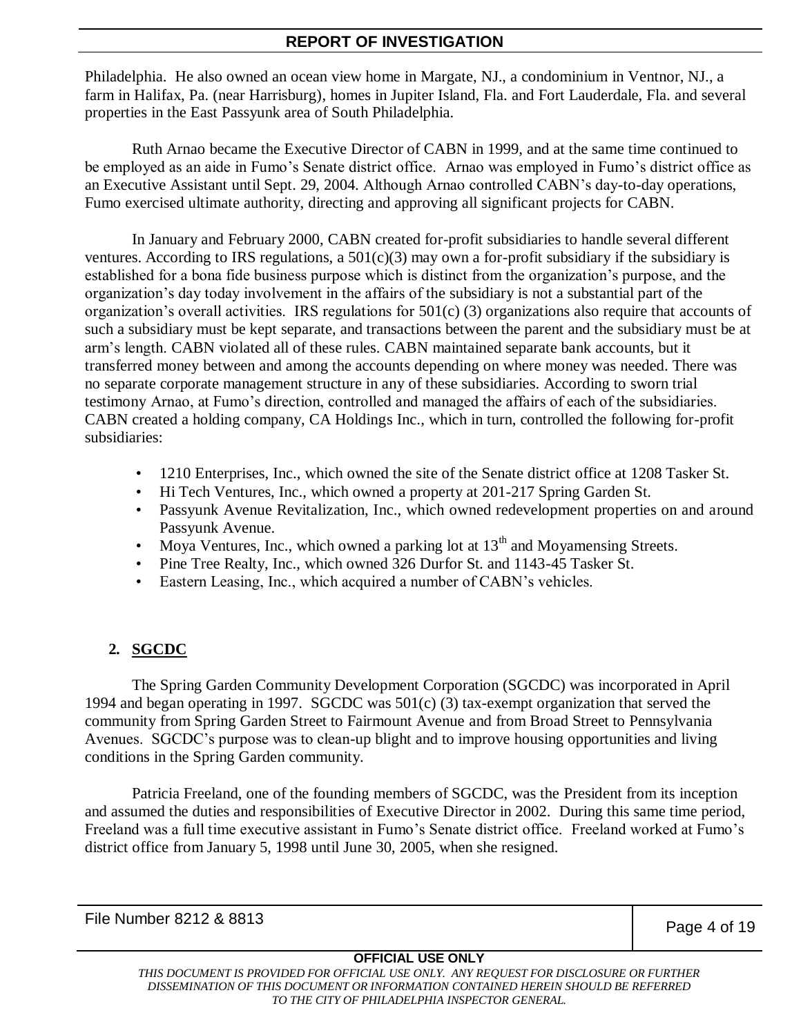Philadelphia. He also owned an ocean view home in Margate, NJ., a condominium in Ventnor, NJ., a farm in Halifax, Pa. (near Harrisburg), homes in Jupiter Island, Fla. and Fort Lauderdale, Fla. and several properties in the East Passyunk area of South Philadelphia.

Ruth Arnao became the Executive Director of CABN in 1999, and at the same time continued to be employed as an aide in Fumo's Senate district office. Arnao was employed in Fumo's district office as an Executive Assistant until Sept. 29, 2004. Although Arnao controlled CABN's day-to-day operations, Fumo exercised ultimate authority, directing and approving all significant projects for CABN.

In January and February 2000, CABN created for-profit subsidiaries to handle several different ventures. According to IRS regulations, a  $501(c)(3)$  may own a for-profit subsidiary if the subsidiary is established for a bona fide business purpose which is distinct from the organization's purpose, and the organization's day today involvement in the affairs of the subsidiary is not a substantial part of the organization's overall activities. IRS regulations for  $501(c)$  (3) organizations also require that accounts of such a subsidiary must be kept separate, and transactions between the parent and the subsidiary must be at arm's length. CABN violated all of these rules. CABN maintained separate bank accounts, but it transferred money between and among the accounts depending on where money was needed. There was no separate corporate management structure in any of these subsidiaries. According to sworn trial testimony Arnao, at Fumo's direction, controlled and managed the affairs of each of the subsidiaries. CABN created a holding company, CA Holdings Inc., which in turn, controlled the following for-profit subsidiaries:

- 1210 Enterprises, Inc., which owned the site of the Senate district office at 1208 Tasker St.
- Hi Tech Ventures, Inc., which owned a property at 201-217 Spring Garden St.
- Passyunk Avenue Revitalization, Inc., which owned redevelopment properties on and around Passyunk Avenue.
- Moya Ventures, Inc., which owned a parking lot at  $13<sup>th</sup>$  and Moyamensing Streets.
- Pine Tree Realty, Inc., which owned 326 Durfor St. and 1143-45 Tasker St.
- Eastern Leasing, Inc., which acquired a number of CABN's vehicles.

# **2. SGCDC**

The Spring Garden Community Development Corporation (SGCDC) was incorporated in April 1994 and began operating in 1997. SGCDC was 501(c) (3) tax-exempt organization that served the community from Spring Garden Street to Fairmount Avenue and from Broad Street to Pennsylvania Avenues. SGCDC's purpose was to clean-up blight and to improve housing opportunities and living conditions in the Spring Garden community.

Patricia Freeland, one of the founding members of SGCDC, was the President from its inception and assumed the duties and responsibilities of Executive Director in 2002. During this same time period, Freeland was a full time executive assistant in Fumo's Senate district office. Freeland worked at Fumo's district office from January 5, 1998 until June 30, 2005, when she resigned.

File Number 8212 & 8813 Page 4 of 19

# **OFFICIAL USE ONLY**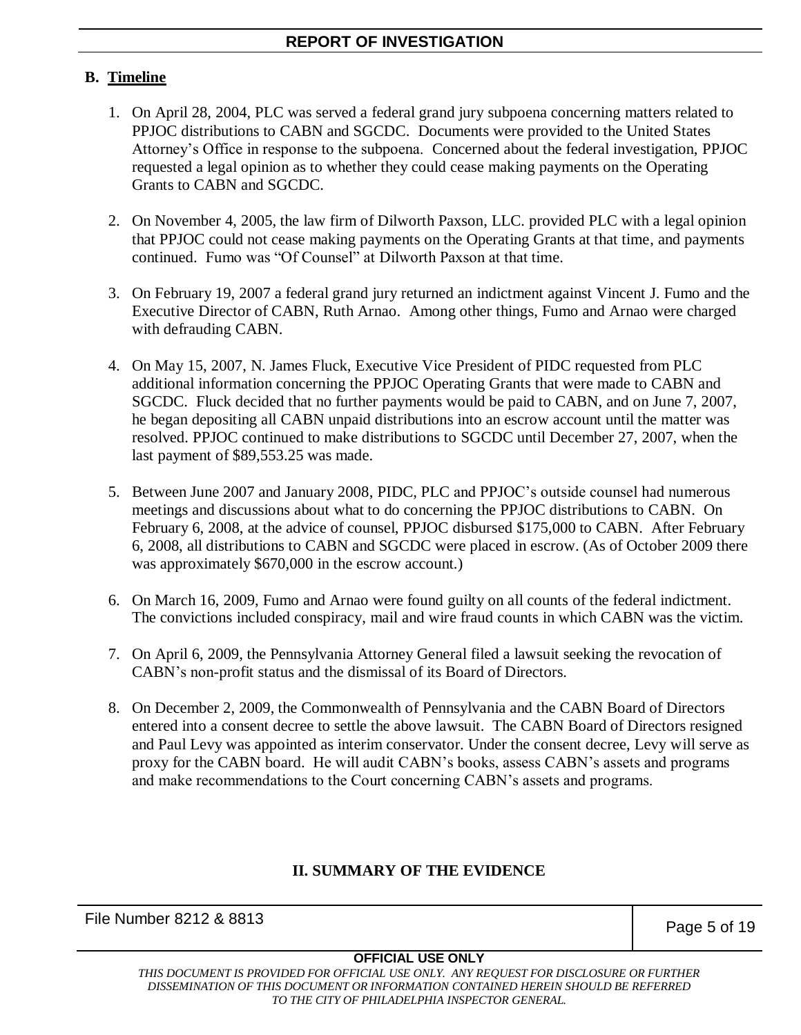# **B. Timeline**

- 1. On April 28, 2004, PLC was served a federal grand jury subpoena concerning matters related to PPJOC distributions to CABN and SGCDC. Documents were provided to the United States Attorney's Office in response to the subpoena. Concerned about the federal investigation, PPJOC requested a legal opinion as to whether they could cease making payments on the Operating Grants to CABN and SGCDC.
- 2. On November 4, 2005, the law firm of Dilworth Paxson, LLC. provided PLC with a legal opinion that PPJOC could not cease making payments on the Operating Grants at that time, and payments continued. Fumo was "Of Counsel" at Dilworth Paxson at that time.
- 3. On February 19, 2007 a federal grand jury returned an indictment against Vincent J. Fumo and the Executive Director of CABN, Ruth Arnao. Among other things, Fumo and Arnao were charged with defrauding CABN.
- 4. On May 15, 2007, N. James Fluck, Executive Vice President of PIDC requested from PLC additional information concerning the PPJOC Operating Grants that were made to CABN and SGCDC. Fluck decided that no further payments would be paid to CABN, and on June 7, 2007, he began depositing all CABN unpaid distributions into an escrow account until the matter was resolved. PPJOC continued to make distributions to SGCDC until December 27, 2007, when the last payment of \$89,553.25 was made.
- 5. Between June 2007 and January 2008, PIDC, PLC and PPJOC's outside counsel had numerous meetings and discussions about what to do concerning the PPJOC distributions to CABN. On February 6, 2008, at the advice of counsel, PPJOC disbursed \$175,000 to CABN. After February 6, 2008, all distributions to CABN and SGCDC were placed in escrow. (As of October 2009 there was approximately \$670,000 in the escrow account.)
- 6. On March 16, 2009, Fumo and Arnao were found guilty on all counts of the federal indictment. The convictions included conspiracy, mail and wire fraud counts in which CABN was the victim.
- 7. On April 6, 2009, the Pennsylvania Attorney General filed a lawsuit seeking the revocation of CABN's non-profit status and the dismissal of its Board of Directors.
- 8. On December 2, 2009, the Commonwealth of Pennsylvania and the CABN Board of Directors entered into a consent decree to settle the above lawsuit. The CABN Board of Directors resigned and Paul Levy was appointed as interim conservator. Under the consent decree, Levy will serve as proxy for the CABN board. He will audit CABN's books, assess CABN's assets and programs and make recommendations to the Court concerning CABN's assets and programs.

# **II. SUMMARY OF THE EVIDENCE**

File Number 8212 & 8813 **Page 5 of 19** Page 5 of 19

# **OFFICIAL USE ONLY**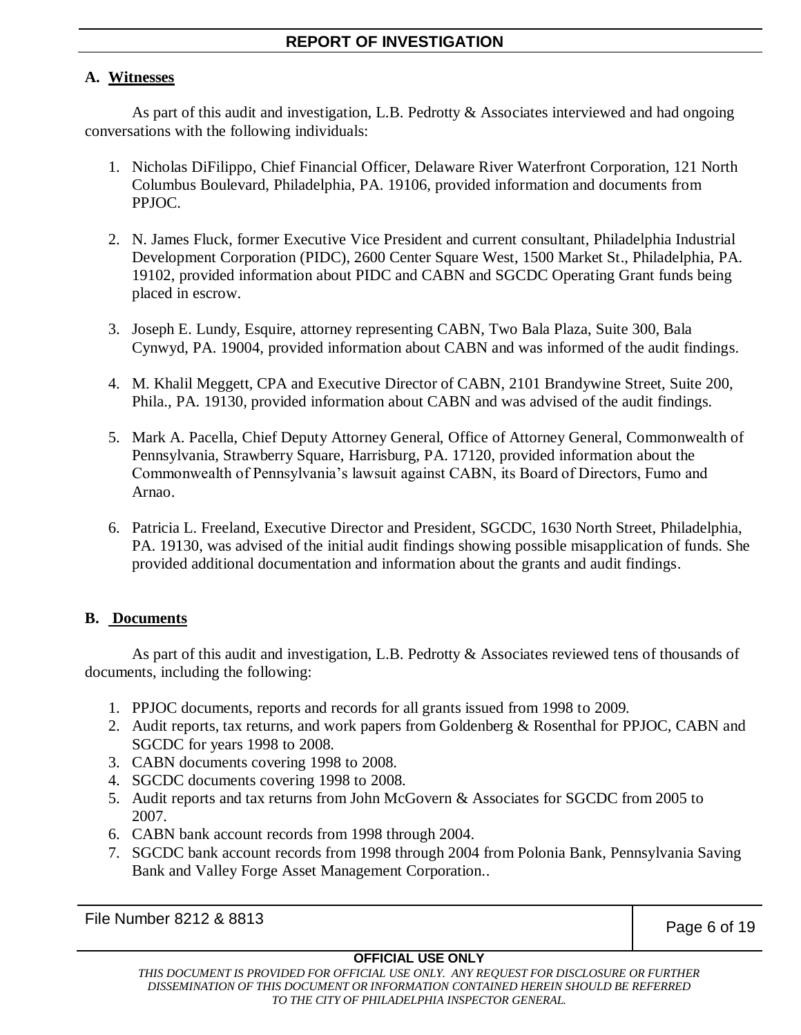# **A. Witnesses**

As part of this audit and investigation, L.B. Pedrotty & Associates interviewed and had ongoing conversations with the following individuals:

- 1. Nicholas DiFilippo, Chief Financial Officer, Delaware River Waterfront Corporation, 121 North Columbus Boulevard, Philadelphia, PA. 19106, provided information and documents from PPJOC.
- 2. N. James Fluck, former Executive Vice President and current consultant, Philadelphia Industrial Development Corporation (PIDC), 2600 Center Square West, 1500 Market St., Philadelphia, PA. 19102, provided information about PIDC and CABN and SGCDC Operating Grant funds being placed in escrow.
- 3. Joseph E. Lundy, Esquire, attorney representing CABN, Two Bala Plaza, Suite 300, Bala Cynwyd, PA. 19004, provided information about CABN and was informed of the audit findings.
- 4. M. Khalil Meggett, CPA and Executive Director of CABN, 2101 Brandywine Street, Suite 200, Phila., PA. 19130, provided information about CABN and was advised of the audit findings.
- 5. Mark A. Pacella, Chief Deputy Attorney General, Office of Attorney General, Commonwealth of Pennsylvania, Strawberry Square, Harrisburg, PA. 17120, provided information about the Commonwealth of Pennsylvania's lawsuit against CABN, its Board of Directors, Fumo and Arnao.
- 6. Patricia L. Freeland, Executive Director and President, SGCDC, 1630 North Street, Philadelphia, PA. 19130, was advised of the initial audit findings showing possible misapplication of funds. She provided additional documentation and information about the grants and audit findings.

# **B. Documents**

As part of this audit and investigation, L.B. Pedrotty & Associates reviewed tens of thousands of documents, including the following:

- 1. PPJOC documents, reports and records for all grants issued from 1998 to 2009.
- 2. Audit reports, tax returns, and work papers from Goldenberg & Rosenthal for PPJOC, CABN and SGCDC for years 1998 to 2008.
- 3. CABN documents covering 1998 to 2008.
- 4. SGCDC documents covering 1998 to 2008.
- 5. Audit reports and tax returns from John McGovern & Associates for SGCDC from 2005 to 2007.
- 6. CABN bank account records from 1998 through 2004.
- 7. SGCDC bank account records from 1998 through 2004 from Polonia Bank, Pennsylvania Saving Bank and Valley Forge Asset Management Corporation..

File Number 8212 & 8813 Page 6 of 19

# **OFFICIAL USE ONLY**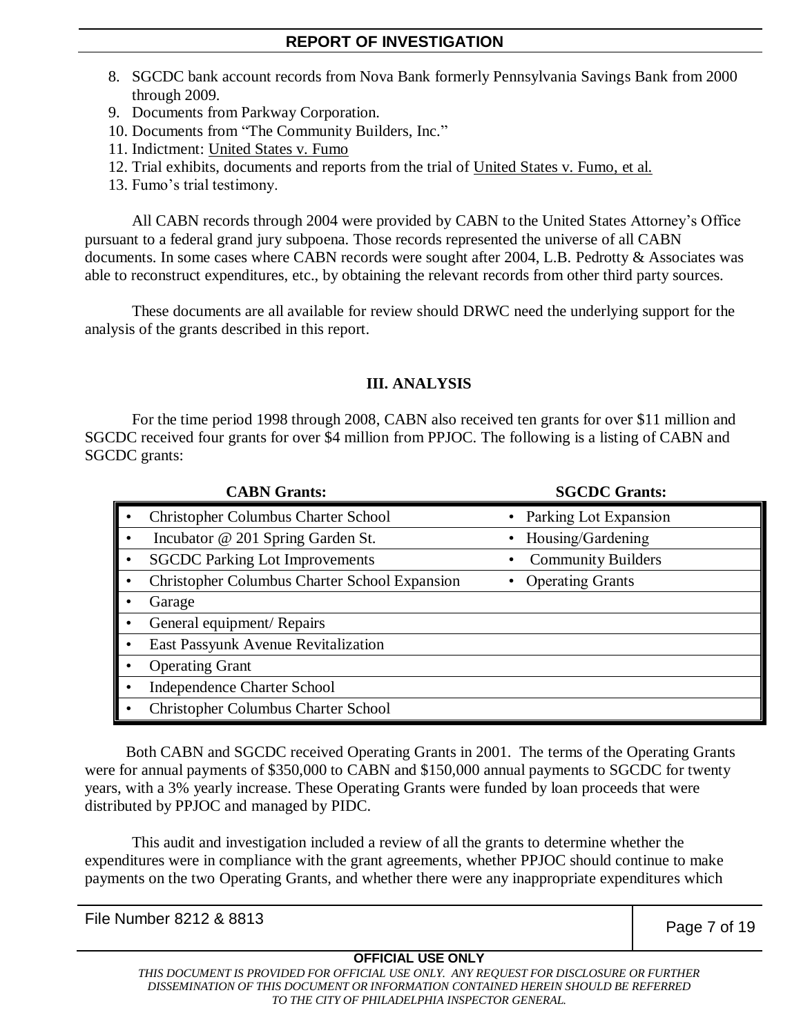- 8. SGCDC bank account records from Nova Bank formerly Pennsylvania Savings Bank from 2000 through 2009.
- 9. Documents from Parkway Corporation.
- 10. Documents from "The Community Builders, Inc."
- 11. Indictment: United States v. Fumo
- 12. Trial exhibits, documents and reports from the trial of United States v. Fumo, et al.
- 13. Fumo's trial testimony.

All CABN records through 2004 were provided by CABN to the United States Attorney's Office pursuant to a federal grand jury subpoena. Those records represented the universe of all CABN documents. In some cases where CABN records were sought after 2004, L.B. Pedrotty & Associates was able to reconstruct expenditures, etc., by obtaining the relevant records from other third party sources.

These documents are all available for review should DRWC need the underlying support for the analysis of the grants described in this report.

#### **III. ANALYSIS**

For the time period 1998 through 2008, CABN also received ten grants for over \$11 million and SGCDC received four grants for over \$4 million from PPJOC. The following is a listing of CABN and SGCDC grants:

| <b>CABN Grants:</b>                           | <b>SGCDC Grants:</b>      |
|-----------------------------------------------|---------------------------|
| <b>Christopher Columbus Charter School</b>    | Parking Lot Expansion     |
| Incubator @ 201 Spring Garden St.             | Housing/Gardening         |
| <b>SGCDC Parking Lot Improvements</b>         | <b>Community Builders</b> |
| Christopher Columbus Charter School Expansion | <b>Operating Grants</b>   |
| Garage                                        |                           |
| General equipment/Repairs                     |                           |
| East Passyunk Avenue Revitalization           |                           |
| <b>Operating Grant</b>                        |                           |
| <b>Independence Charter School</b>            |                           |
| Christopher Columbus Charter School           |                           |

Both CABN and SGCDC received Operating Grants in 2001. The terms of the Operating Grants were for annual payments of \$350,000 to CABN and \$150,000 annual payments to SGCDC for twenty years, with a 3% yearly increase. These Operating Grants were funded by loan proceeds that were distributed by PPJOC and managed by PIDC.

This audit and investigation included a review of all the grants to determine whether the expenditures were in compliance with the grant agreements, whether PPJOC should continue to make payments on the two Operating Grants, and whether there were any inappropriate expenditures which

File Number 8212 & 8813 Page 7 of 19

#### **OFFICIAL USE ONLY**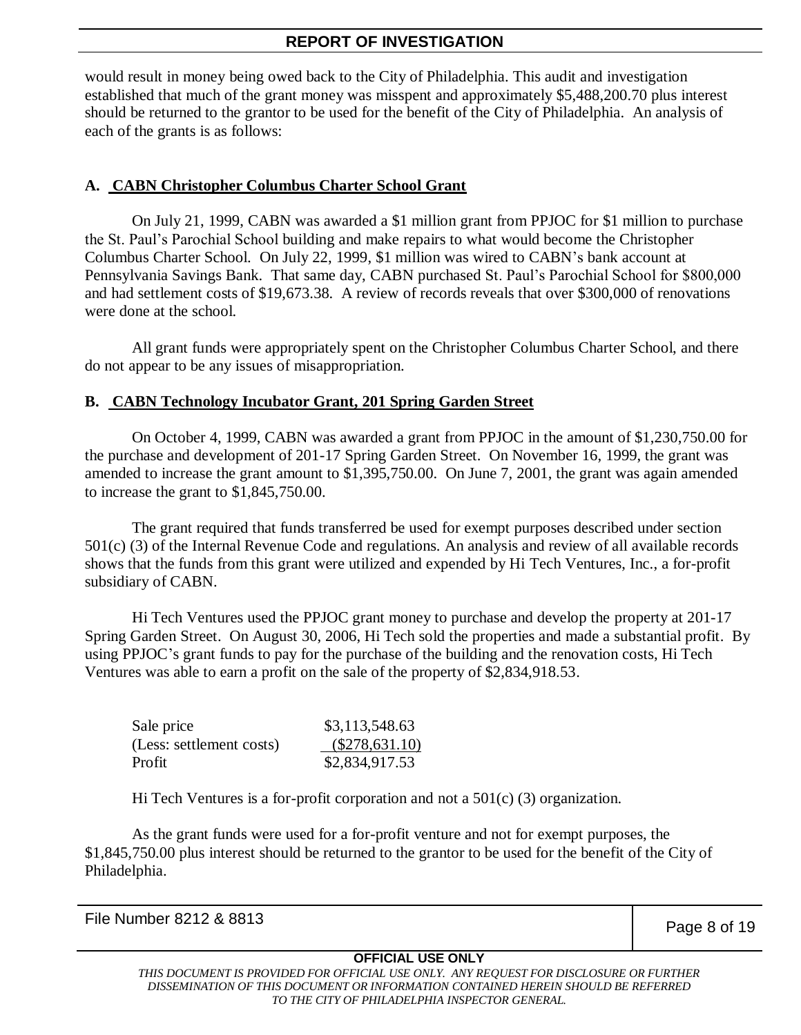would result in money being owed back to the City of Philadelphia. This audit and investigation established that much of the grant money was misspent and approximately \$5,488,200.70 plus interest should be returned to the grantor to be used for the benefit of the City of Philadelphia. An analysis of each of the grants is as follows:

# **A. CABN Christopher Columbus Charter School Grant**

On July 21, 1999, CABN was awarded a \$1 million grant from PPJOC for \$1 million to purchase the St. Paul's Parochial School building and make repairs to what would become the Christopher Columbus Charter School. On July 22, 1999, \$1 million was wired to CABN's bank account at Pennsylvania Savings Bank. That same day, CABN purchased St. Paul's Parochial School for \$800,000 and had settlement costs of \$19,673.38. A review of records reveals that over \$300,000 of renovations were done at the school.

All grant funds were appropriately spent on the Christopher Columbus Charter School, and there do not appear to be any issues of misappropriation.

# **B. CABN Technology Incubator Grant, 201 Spring Garden Street**

On October 4, 1999, CABN was awarded a grant from PPJOC in the amount of \$1,230,750.00 for the purchase and development of 201-17 Spring Garden Street. On November 16, 1999, the grant was amended to increase the grant amount to \$1,395,750.00. On June 7, 2001, the grant was again amended to increase the grant to \$1,845,750.00.

The grant required that funds transferred be used for exempt purposes described under section 501(c) (3) of the Internal Revenue Code and regulations. An analysis and review of all available records shows that the funds from this grant were utilized and expended by Hi Tech Ventures, Inc., a for-profit subsidiary of CABN.

Hi Tech Ventures used the PPJOC grant money to purchase and develop the property at 201-17 Spring Garden Street. On August 30, 2006, Hi Tech sold the properties and made a substantial profit. By using PPJOC's grant funds to pay for the purchase of the building and the renovation costs, Hi Tech Ventures was able to earn a profit on the sale of the property of \$2,834,918.53.

| Sale price               | \$3,113,548.63   |
|--------------------------|------------------|
| (Less: settlement costs) | $(\$278,631.10)$ |
| Profit                   | \$2,834,917.53   |

Hi Tech Ventures is a for-profit corporation and not a  $501(c)$  (3) organization.

As the grant funds were used for a for-profit venture and not for exempt purposes, the \$1,845,750.00 plus interest should be returned to the grantor to be used for the benefit of the City of Philadelphia.

File Number 8212 & 8813 **Page 8 of 19** 

# **OFFICIAL USE ONLY**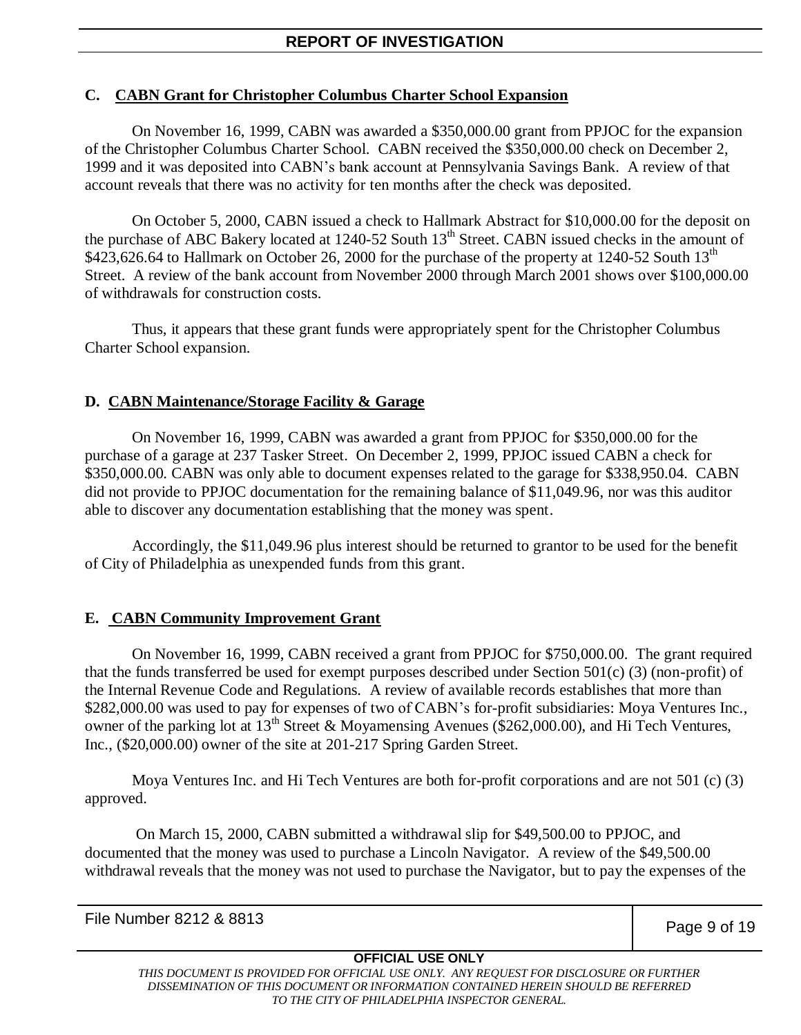# **C. CABN Grant for Christopher Columbus Charter School Expansion**

On November 16, 1999, CABN was awarded a \$350,000.00 grant from PPJOC for the expansion of the Christopher Columbus Charter School. CABN received the \$350,000.00 check on December 2, 1999 and it was deposited into CABN's bank account at Pennsylvania Savings Bank. A review of that account reveals that there was no activity for ten months after the check was deposited.

On October 5, 2000, CABN issued a check to Hallmark Abstract for \$10,000.00 for the deposit on the purchase of ABC Bakery located at  $1240-52$  South  $13<sup>th</sup>$  Street. CABN issued checks in the amount of \$423,626.64 to Hallmark on October 26, 2000 for the purchase of the property at 1240-52 South 13<sup>th</sup> Street. A review of the bank account from November 2000 through March 2001 shows over \$100,000.00 of withdrawals for construction costs.

Thus, it appears that these grant funds were appropriately spent for the Christopher Columbus Charter School expansion.

#### **D. CABN Maintenance/Storage Facility & Garage**

On November 16, 1999, CABN was awarded a grant from PPJOC for \$350,000.00 for the purchase of a garage at 237 Tasker Street. On December 2, 1999, PPJOC issued CABN a check for \$350,000.00. CABN was only able to document expenses related to the garage for \$338,950.04. CABN did not provide to PPJOC documentation for the remaining balance of \$11,049.96, nor was this auditor able to discover any documentation establishing that the money was spent.

Accordingly, the \$11,049.96 plus interest should be returned to grantor to be used for the benefit of City of Philadelphia as unexpended funds from this grant.

# **E. CABN Community Improvement Grant**

On November 16, 1999, CABN received a grant from PPJOC for \$750,000.00. The grant required that the funds transferred be used for exempt purposes described under Section 501(c) (3) (non-profit) of the Internal Revenue Code and Regulations. A review of available records establishes that more than \$282,000.00 was used to pay for expenses of two of CABN's for-profit subsidiaries: Moya Ventures Inc., owner of the parking lot at 13<sup>th</sup> Street & Moyamensing Avenues (\$262,000.00), and Hi Tech Ventures, Inc., (\$20,000.00) owner of the site at 201-217 Spring Garden Street.

Moya Ventures Inc. and Hi Tech Ventures are both for-profit corporations and are not 501 (c) (3) approved.

On March 15, 2000, CABN submitted a withdrawal slip for \$49,500.00 to PPJOC, and documented that the money was used to purchase a Lincoln Navigator. A review of the \$49,500.00 withdrawal reveals that the money was not used to purchase the Navigator, but to pay the expenses of the

File Number 8212 & 8813 Page 9 of 19

#### **OFFICIAL USE ONLY**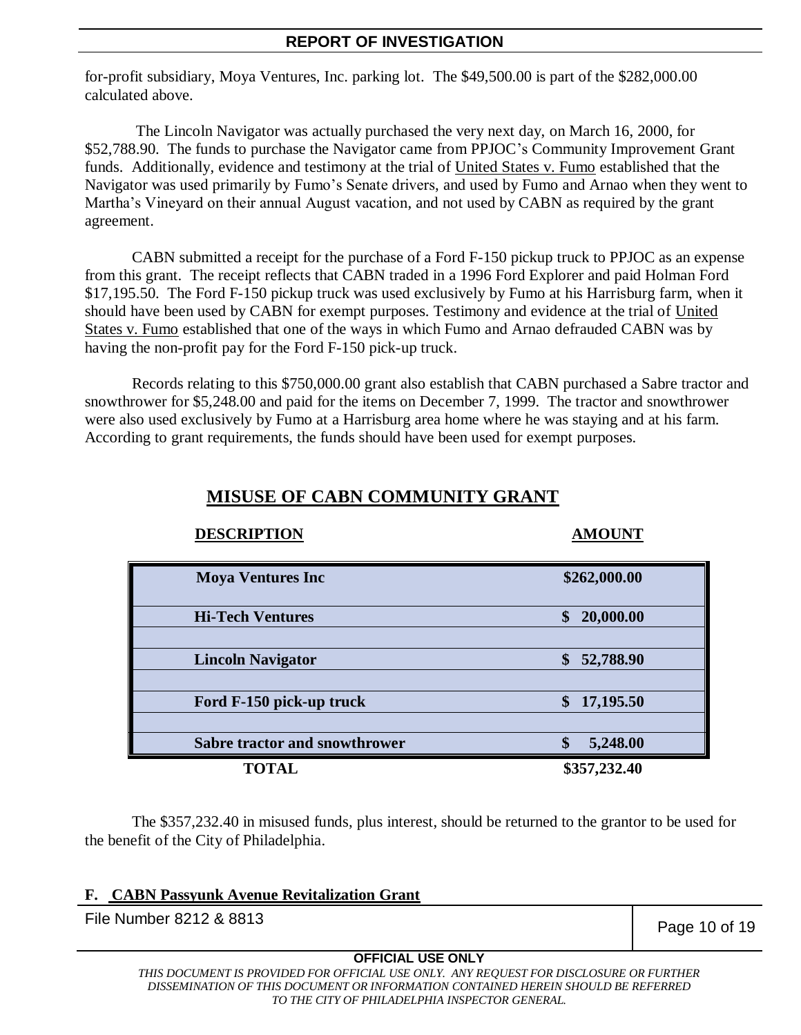for-profit subsidiary, Moya Ventures, Inc. parking lot. The \$49,500.00 is part of the \$282,000.00 calculated above.

The Lincoln Navigator was actually purchased the very next day, on March 16, 2000, for \$52,788.90. The funds to purchase the Navigator came from PPJOC's Community Improvement Grant funds. Additionally, evidence and testimony at the trial of United States v. Fumo established that the Navigator was used primarily by Fumo's Senate drivers, and used by Fumo and Arnao when they went to Martha's Vineyard on their annual August vacation, and not used by CABN as required by the grant agreement.

CABN submitted a receipt for the purchase of a Ford F-150 pickup truck to PPJOC as an expense from this grant. The receipt reflects that CABN traded in a 1996 Ford Explorer and paid Holman Ford \$17,195.50. The Ford F-150 pickup truck was used exclusively by Fumo at his Harrisburg farm, when it should have been used by CABN for exempt purposes. Testimony and evidence at the trial of United States v. Fumo established that one of the ways in which Fumo and Arnao defrauded CABN was by having the non-profit pay for the Ford F-150 pick-up truck.

Records relating to this \$750,000.00 grant also establish that CABN purchased a Sabre tractor and snowthrower for \$5,248.00 and paid for the items on December 7, 1999. The tractor and snowthrower were also used exclusively by Fumo at a Harrisburg area home where he was staying and at his farm. According to grant requirements, the funds should have been used for exempt purposes.

| <b>DESCRIPTION</b>                   | <b>AMOUNT</b>   |
|--------------------------------------|-----------------|
| <b>Moya Ventures Inc</b>             | \$262,000.00    |
| <b>Hi-Tech Ventures</b>              | \$<br>20,000.00 |
|                                      |                 |
| <b>Lincoln Navigator</b>             | 52,788.90<br>\$ |
|                                      |                 |
| Ford F-150 pick-up truck             | \$<br>17,195.50 |
|                                      |                 |
| <b>Sabre tractor and snowthrower</b> | \$<br>5,248.00  |
| <b>TOTAL</b>                         | \$357,232.40    |

# **MISUSE OF CABN COMMUNITY GRANT**

The \$357,232.40 in misused funds, plus interest, should be returned to the grantor to be used for the benefit of the City of Philadelphia.

# **F. CABN Passyunk Avenue Revitalization Grant**

File Number 8212 & 8813 **Page 10 of 19** 

# **OFFICIAL USE ONLY**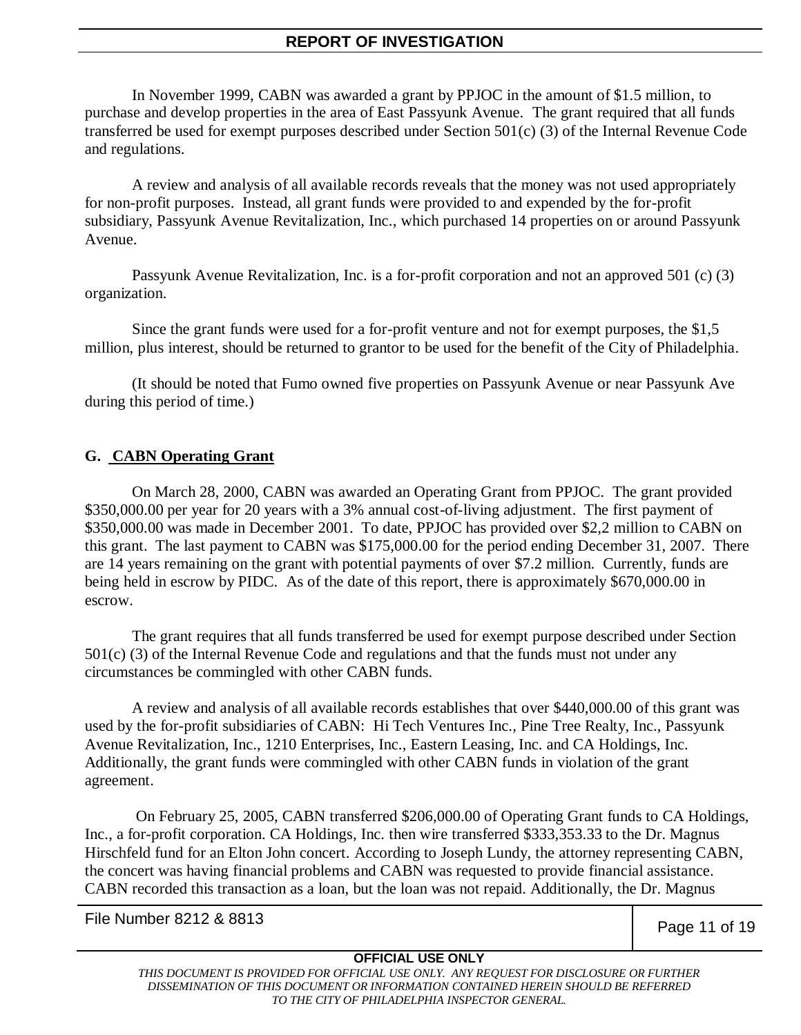In November 1999, CABN was awarded a grant by PPJOC in the amount of \$1.5 million, to purchase and develop properties in the area of East Passyunk Avenue. The grant required that all funds transferred be used for exempt purposes described under Section 501(c) (3) of the Internal Revenue Code and regulations.

A review and analysis of all available records reveals that the money was not used appropriately for non-profit purposes. Instead, all grant funds were provided to and expended by the for-profit subsidiary, Passyunk Avenue Revitalization, Inc., which purchased 14 properties on or around Passyunk Avenue.

Passyunk Avenue Revitalization, Inc. is a for-profit corporation and not an approved 501 (c) (3) organization.

Since the grant funds were used for a for-profit venture and not for exempt purposes, the \$1,5 million, plus interest, should be returned to grantor to be used for the benefit of the City of Philadelphia.

(It should be noted that Fumo owned five properties on Passyunk Avenue or near Passyunk Ave during this period of time.)

# **G. CABN Operating Grant**

On March 28, 2000, CABN was awarded an Operating Grant from PPJOC. The grant provided \$350,000.00 per year for 20 years with a 3% annual cost-of-living adjustment. The first payment of \$350,000.00 was made in December 2001. To date, PPJOC has provided over \$2,2 million to CABN on this grant. The last payment to CABN was \$175,000.00 for the period ending December 31, 2007. There are 14 years remaining on the grant with potential payments of over \$7.2 million. Currently, funds are being held in escrow by PIDC. As of the date of this report, there is approximately \$670,000.00 in escrow.

The grant requires that all funds transferred be used for exempt purpose described under Section 501(c) (3) of the Internal Revenue Code and regulations and that the funds must not under any circumstances be commingled with other CABN funds.

A review and analysis of all available records establishes that over \$440,000.00 of this grant was used by the for-profit subsidiaries of CABN: Hi Tech Ventures Inc., Pine Tree Realty, Inc., Passyunk Avenue Revitalization, Inc., 1210 Enterprises, Inc., Eastern Leasing, Inc. and CA Holdings, Inc. Additionally, the grant funds were commingled with other CABN funds in violation of the grant agreement.

On February 25, 2005, CABN transferred \$206,000.00 of Operating Grant funds to CA Holdings, Inc., a for-profit corporation. CA Holdings, Inc. then wire transferred \$333,353.33 to the Dr. Magnus Hirschfeld fund for an Elton John concert. According to Joseph Lundy, the attorney representing CABN, the concert was having financial problems and CABN was requested to provide financial assistance. CABN recorded this transaction as a loan, but the loan was not repaid. Additionally, the Dr. Magnus

File Number 8212 & 8813 **Page 11 of 19** 

# **OFFICIAL USE ONLY**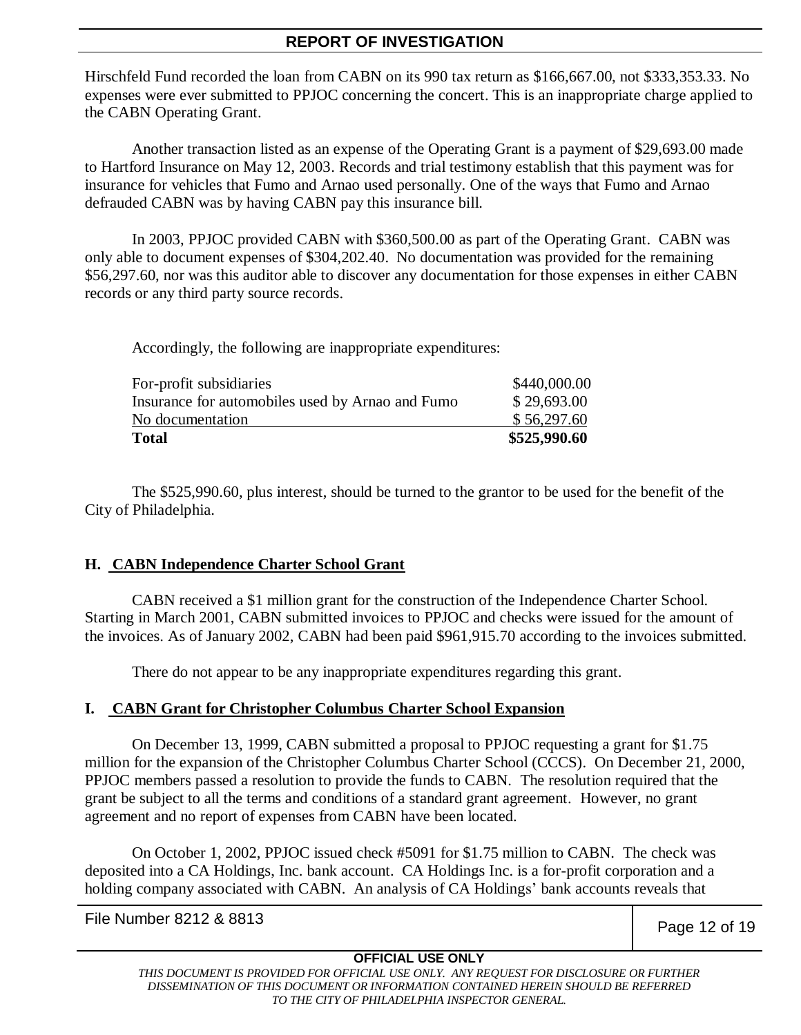Hirschfeld Fund recorded the loan from CABN on its 990 tax return as \$166,667.00, not \$333,353.33. No expenses were ever submitted to PPJOC concerning the concert. This is an inappropriate charge applied to the CABN Operating Grant.

Another transaction listed as an expense of the Operating Grant is a payment of \$29,693.00 made to Hartford Insurance on May 12, 2003. Records and trial testimony establish that this payment was for insurance for vehicles that Fumo and Arnao used personally. One of the ways that Fumo and Arnao defrauded CABN was by having CABN pay this insurance bill.

In 2003, PPJOC provided CABN with \$360,500.00 as part of the Operating Grant. CABN was only able to document expenses of \$304,202.40. No documentation was provided for the remaining \$56,297.60, nor was this auditor able to discover any documentation for those expenses in either CABN records or any third party source records.

Accordingly, the following are inappropriate expenditures:

| \$525,990.60 |
|--------------|
| \$56,297.60  |
| \$29,693.00  |
| \$440,000.00 |
|              |

The \$525,990.60, plus interest, should be turned to the grantor to be used for the benefit of the City of Philadelphia.

# **H. CABN Independence Charter School Grant**

CABN received a \$1 million grant for the construction of the Independence Charter School. Starting in March 2001, CABN submitted invoices to PPJOC and checks were issued for the amount of the invoices. As of January 2002, CABN had been paid \$961,915.70 according to the invoices submitted.

There do not appear to be any inappropriate expenditures regarding this grant.

# **I. CABN Grant for Christopher Columbus Charter School Expansion**

On December 13, 1999, CABN submitted a proposal to PPJOC requesting a grant for \$1.75 million for the expansion of the Christopher Columbus Charter School (CCCS). On December 21, 2000, PPJOC members passed a resolution to provide the funds to CABN. The resolution required that the grant be subject to all the terms and conditions of a standard grant agreement. However, no grant agreement and no report of expenses from CABN have been located.

On October 1, 2002, PPJOC issued check #5091 for \$1.75 million to CABN. The check was deposited into a CA Holdings, Inc. bank account. CA Holdings Inc. is a for-profit corporation and a holding company associated with CABN. An analysis of CA Holdings' bank accounts reveals that

File Number 8212 & 8813 **Page 12 of 19** 

# **OFFICIAL USE ONLY**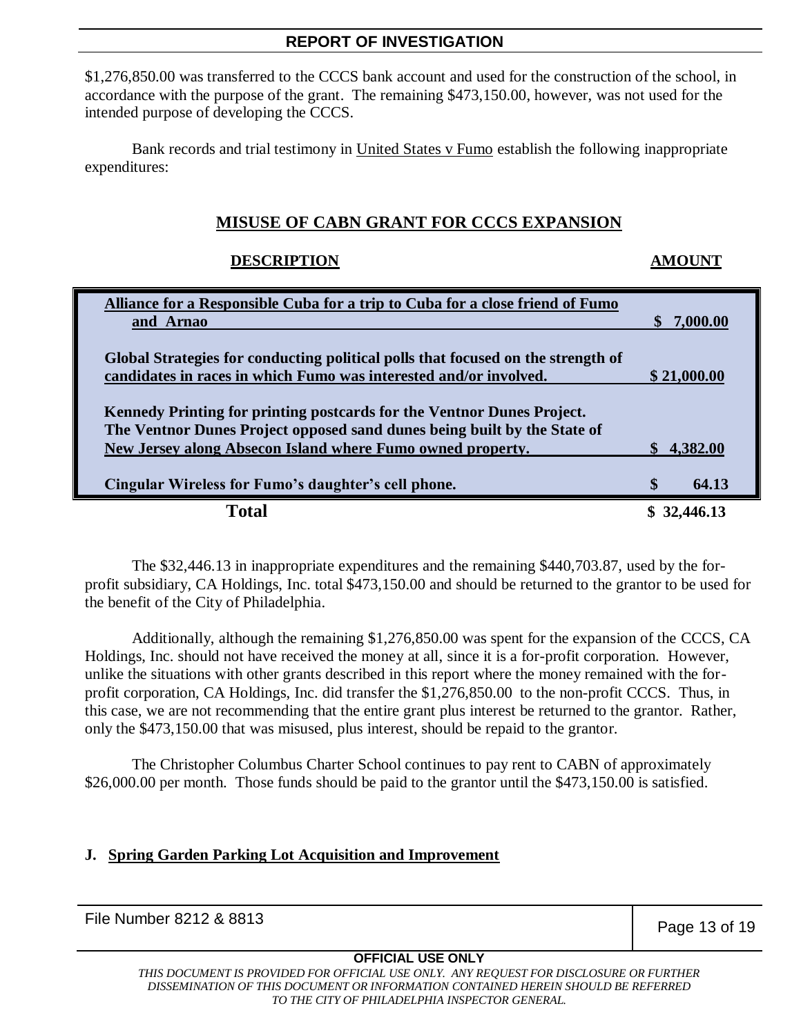\$1,276,850.00 was transferred to the CCCS bank account and used for the construction of the school, in accordance with the purpose of the grant. The remaining \$473,150.00, however, was not used for the intended purpose of developing the CCCS.

Bank records and trial testimony in United States v Fumo establish the following inappropriate expenditures:

# **MISUSE OF CABN GRANT FOR CCCS EXPANSION**

#### **DESCRIPTION AMOUNT**

| Alliance for a Responsible Cuba for a trip to Cuba for a close friend of Fumo    |                        |
|----------------------------------------------------------------------------------|------------------------|
| and Arnao                                                                        | \$7,000.00             |
|                                                                                  |                        |
| Global Strategies for conducting political polls that focused on the strength of |                        |
| candidates in races in which Fumo was interested and/or involved.                | \$21,000.00            |
|                                                                                  |                        |
| Kennedy Printing for printing postcards for the Ventnor Dunes Project.           |                        |
| The Ventnor Dunes Project opposed sand dunes being built by the State of         |                        |
| New Jersey along Absecon Island where Fumo owned property.                       | 4,382.00               |
|                                                                                  |                        |
| Cingular Wireless for Fumo's daughter's cell phone.                              | <sup>\$</sup><br>64.13 |
| Total                                                                            |                        |

The \$32,446.13 in inappropriate expenditures and the remaining \$440,703.87, used by the forprofit subsidiary, CA Holdings, Inc. total \$473,150.00 and should be returned to the grantor to be used for the benefit of the City of Philadelphia.

Additionally, although the remaining \$1,276,850.00 was spent for the expansion of the CCCS, CA Holdings, Inc. should not have received the money at all, since it is a for-profit corporation. However, unlike the situations with other grants described in this report where the money remained with the forprofit corporation, CA Holdings, Inc. did transfer the \$1,276,850.00 to the non-profit CCCS. Thus, in this case, we are not recommending that the entire grant plus interest be returned to the grantor. Rather, only the \$473,150.00 that was misused, plus interest, should be repaid to the grantor.

The Christopher Columbus Charter School continues to pay rent to CABN of approximately \$26,000.00 per month. Those funds should be paid to the grantor until the \$473,150.00 is satisfied.

# **J. Spring Garden Parking Lot Acquisition and Improvement**

File Number 8212 & 8813 **Page 13 of 19** 

# **OFFICIAL USE ONLY**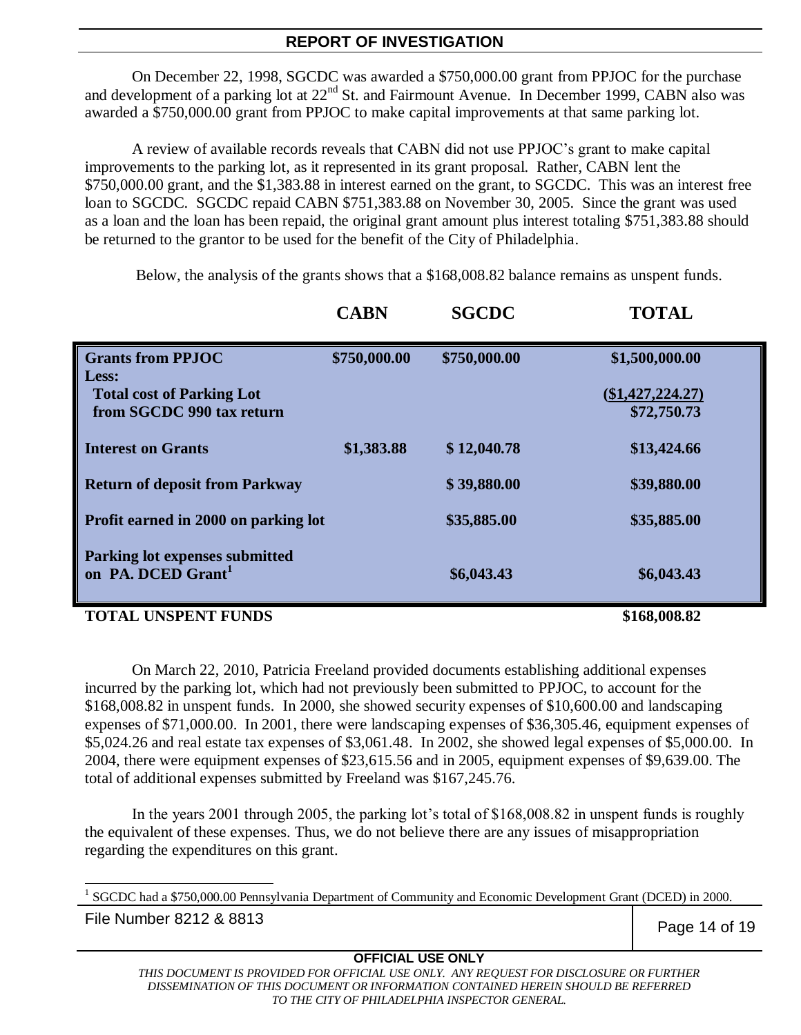On December 22, 1998, SGCDC was awarded a \$750,000.00 grant from PPJOC for the purchase and development of a parking lot at 22<sup>nd</sup> St. and Fairmount Avenue. In December 1999, CABN also was awarded a \$750,000.00 grant from PPJOC to make capital improvements at that same parking lot.

A review of available records reveals that CABN did not use PPJOC's grant to make capital improvements to the parking lot, as it represented in its grant proposal. Rather, CABN lent the \$750,000.00 grant, and the \$1,383.88 in interest earned on the grant, to SGCDC. This was an interest free loan to SGCDC. SGCDC repaid CABN \$751,383.88 on November 30, 2005. Since the grant was used as a loan and the loan has been repaid, the original grant amount plus interest totaling \$751,383.88 should be returned to the grantor to be used for the benefit of the City of Philadelphia.

Below, the analysis of the grants shows that a \$168,008.82 balance remains as unspent funds.

|                                                                  | <b>CABN</b>  | <b>SGCDC</b> | <b>TOTAL</b>       |
|------------------------------------------------------------------|--------------|--------------|--------------------|
| <b>Grants from PPJOC</b><br>Less:                                | \$750,000.00 | \$750,000.00 | \$1,500,000.00     |
| <b>Total cost of Parking Lot</b>                                 |              |              | $(\$1,427,224.27)$ |
| from SGCDC 990 tax return                                        |              |              | \$72,750.73        |
| <b>Interest on Grants</b>                                        | \$1,383.88   | \$12,040.78  | \$13,424.66        |
| <b>Return of deposit from Parkway</b>                            |              | \$39,880.00  | \$39,880.00        |
| Profit earned in 2000 on parking lot                             |              | \$35,885.00  | \$35,885.00        |
| Parking lot expenses submitted<br>on PA. DCED Grant <sup>1</sup> |              | \$6,043.43   | \$6,043.43         |

#### **TOTAL UNSPENT FUNDS \$168,008.82**

On March 22, 2010, Patricia Freeland provided documents establishing additional expenses incurred by the parking lot, which had not previously been submitted to PPJOC, to account for the \$168,008.82 in unspent funds. In 2000, she showed security expenses of \$10,600.00 and landscaping expenses of \$71,000.00. In 2001, there were landscaping expenses of \$36,305.46, equipment expenses of \$5,024.26 and real estate tax expenses of \$3,061.48. In 2002, she showed legal expenses of \$5,000.00. In 2004, there were equipment expenses of \$23,615.56 and in 2005, equipment expenses of \$9,639.00. The total of additional expenses submitted by Freeland was \$167,245.76.

In the years 2001 through 2005, the parking lot's total of \$168,008.82 in unspent funds is roughly the equivalent of these expenses. Thus, we do not believe there are any issues of misappropriation regarding the expenditures on this grant.

l <sup>1</sup> SGCDC had a \$750,000.00 Pennsylvania Department of Community and Economic Development Grant (DCED) in 2000.

File Number 8212 & 8813 **Page 14 of 19** 

# **OFFICIAL USE ONLY**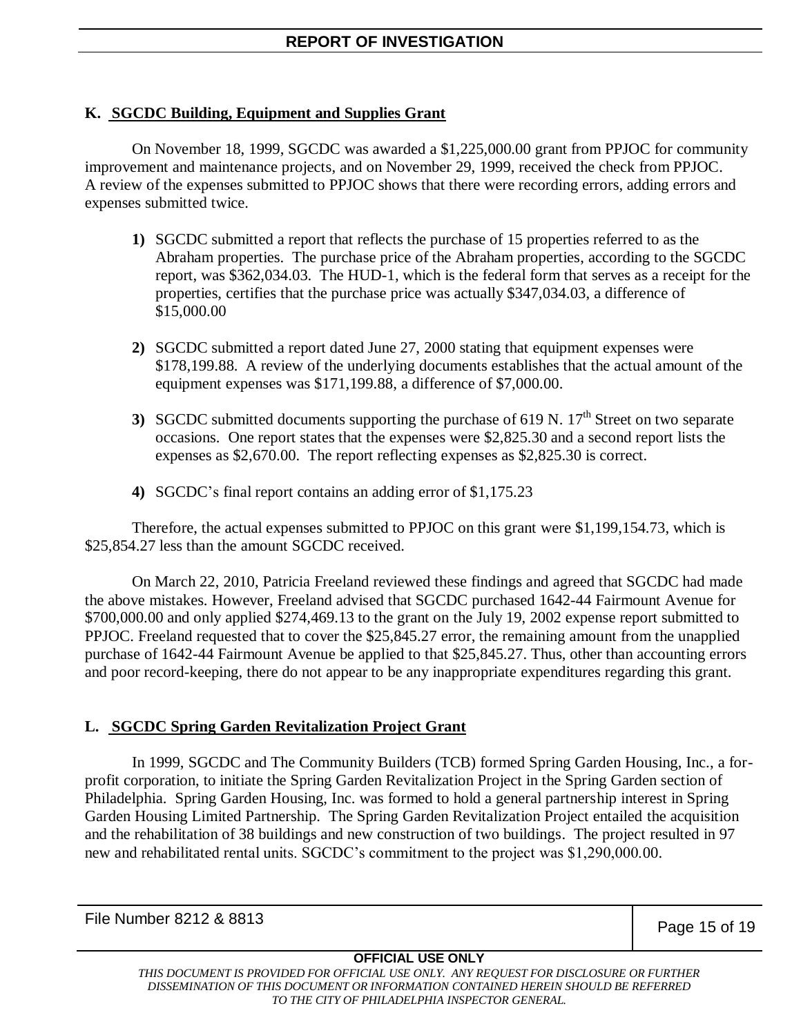# **K. SGCDC Building, Equipment and Supplies Grant**

On November 18, 1999, SGCDC was awarded a \$1,225,000.00 grant from PPJOC for community improvement and maintenance projects, and on November 29, 1999, received the check from PPJOC. A review of the expenses submitted to PPJOC shows that there were recording errors, adding errors and expenses submitted twice.

- **1)** SGCDC submitted a report that reflects the purchase of 15 properties referred to as the Abraham properties. The purchase price of the Abraham properties, according to the SGCDC report, was \$362,034.03. The HUD-1, which is the federal form that serves as a receipt for the properties, certifies that the purchase price was actually \$347,034.03, a difference of \$15,000.00
- **2)** SGCDC submitted a report dated June 27, 2000 stating that equipment expenses were \$178,199.88. A review of the underlying documents establishes that the actual amount of the equipment expenses was \$171,199.88, a difference of \$7,000.00.
- **3)** SGCDC submitted documents supporting the purchase of 619 N.  $17<sup>th</sup>$  Street on two separate occasions. One report states that the expenses were \$2,825.30 and a second report lists the expenses as \$2,670.00. The report reflecting expenses as \$2,825.30 is correct.
- **4)** SGCDC's final report contains an adding error of \$1,175.23

Therefore, the actual expenses submitted to PPJOC on this grant were \$1,199,154.73, which is \$25,854.27 less than the amount SGCDC received.

On March 22, 2010, Patricia Freeland reviewed these findings and agreed that SGCDC had made the above mistakes. However, Freeland advised that SGCDC purchased 1642-44 Fairmount Avenue for \$700,000.00 and only applied \$274,469.13 to the grant on the July 19, 2002 expense report submitted to PPJOC. Freeland requested that to cover the \$25,845.27 error, the remaining amount from the unapplied purchase of 1642-44 Fairmount Avenue be applied to that \$25,845.27. Thus, other than accounting errors and poor record-keeping, there do not appear to be any inappropriate expenditures regarding this grant.

# **L. SGCDC Spring Garden Revitalization Project Grant**

In 1999, SGCDC and The Community Builders (TCB) formed Spring Garden Housing, Inc., a forprofit corporation, to initiate the Spring Garden Revitalization Project in the Spring Garden section of Philadelphia. Spring Garden Housing, Inc. was formed to hold a general partnership interest in Spring Garden Housing Limited Partnership. The Spring Garden Revitalization Project entailed the acquisition and the rehabilitation of 38 buildings and new construction of two buildings. The project resulted in 97 new and rehabilitated rental units. SGCDC's commitment to the project was \$1,290,000.00.

File Number 8212 & 8813 **Page 15 of 19** 

# **OFFICIAL USE ONLY**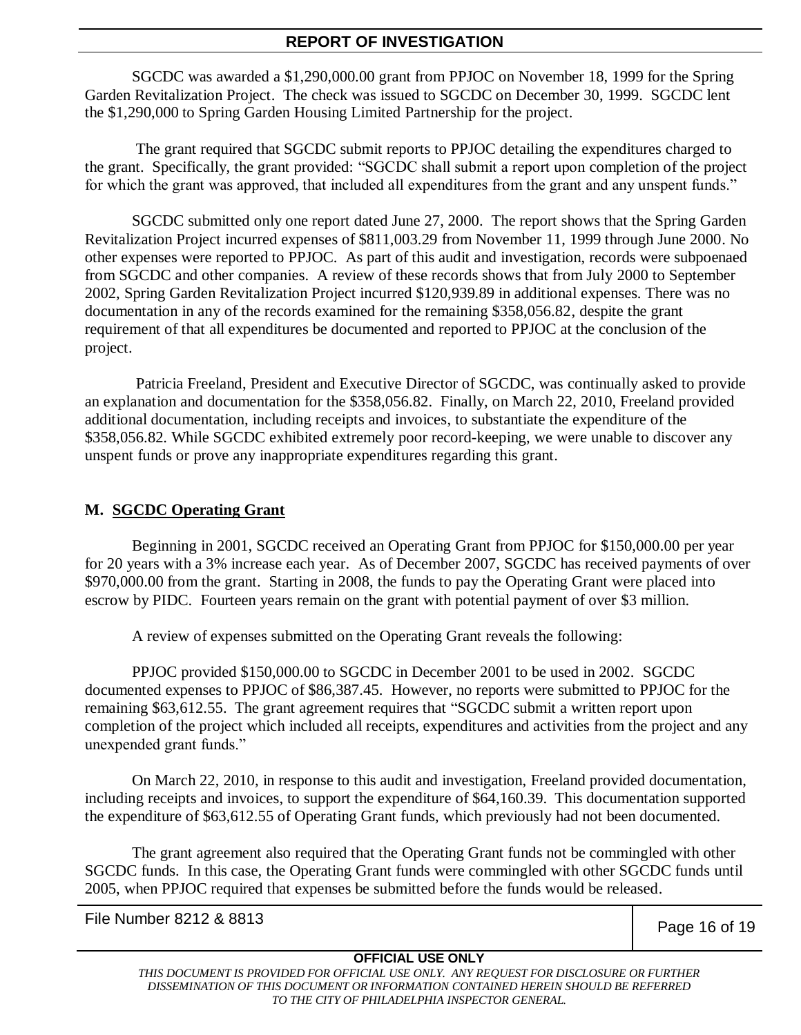SGCDC was awarded a \$1,290,000.00 grant from PPJOC on November 18, 1999 for the Spring Garden Revitalization Project. The check was issued to SGCDC on December 30, 1999. SGCDC lent the \$1,290,000 to Spring Garden Housing Limited Partnership for the project.

The grant required that SGCDC submit reports to PPJOC detailing the expenditures charged to the grant. Specifically, the grant provided: "SGCDC shall submit a report upon completion of the project for which the grant was approved, that included all expenditures from the grant and any unspent funds."

SGCDC submitted only one report dated June 27, 2000. The report shows that the Spring Garden Revitalization Project incurred expenses of \$811,003.29 from November 11, 1999 through June 2000. No other expenses were reported to PPJOC. As part of this audit and investigation, records were subpoenaed from SGCDC and other companies. A review of these records shows that from July 2000 to September 2002, Spring Garden Revitalization Project incurred \$120,939.89 in additional expenses. There was no documentation in any of the records examined for the remaining \$358,056.82, despite the grant requirement of that all expenditures be documented and reported to PPJOC at the conclusion of the project.

Patricia Freeland, President and Executive Director of SGCDC, was continually asked to provide an explanation and documentation for the \$358,056.82. Finally, on March 22, 2010, Freeland provided additional documentation, including receipts and invoices, to substantiate the expenditure of the \$358,056.82. While SGCDC exhibited extremely poor record-keeping, we were unable to discover any unspent funds or prove any inappropriate expenditures regarding this grant.

#### **M. SGCDC Operating Grant**

Beginning in 2001, SGCDC received an Operating Grant from PPJOC for \$150,000.00 per year for 20 years with a 3% increase each year. As of December 2007, SGCDC has received payments of over \$970,000.00 from the grant. Starting in 2008, the funds to pay the Operating Grant were placed into escrow by PIDC. Fourteen years remain on the grant with potential payment of over \$3 million.

A review of expenses submitted on the Operating Grant reveals the following:

PPJOC provided \$150,000.00 to SGCDC in December 2001 to be used in 2002. SGCDC documented expenses to PPJOC of \$86,387.45. However, no reports were submitted to PPJOC for the remaining \$63,612.55. The grant agreement requires that "SGCDC submit a written report upon completion of the project which included all receipts, expenditures and activities from the project and any unexpended grant funds."

On March 22, 2010, in response to this audit and investigation, Freeland provided documentation, including receipts and invoices, to support the expenditure of \$64,160.39. This documentation supported the expenditure of \$63,612.55 of Operating Grant funds, which previously had not been documented.

The grant agreement also required that the Operating Grant funds not be commingled with other SGCDC funds. In this case, the Operating Grant funds were commingled with other SGCDC funds until 2005, when PPJOC required that expenses be submitted before the funds would be released.

File Number 8212 & 8813 **Page 16 of 19** 

# **OFFICIAL USE ONLY**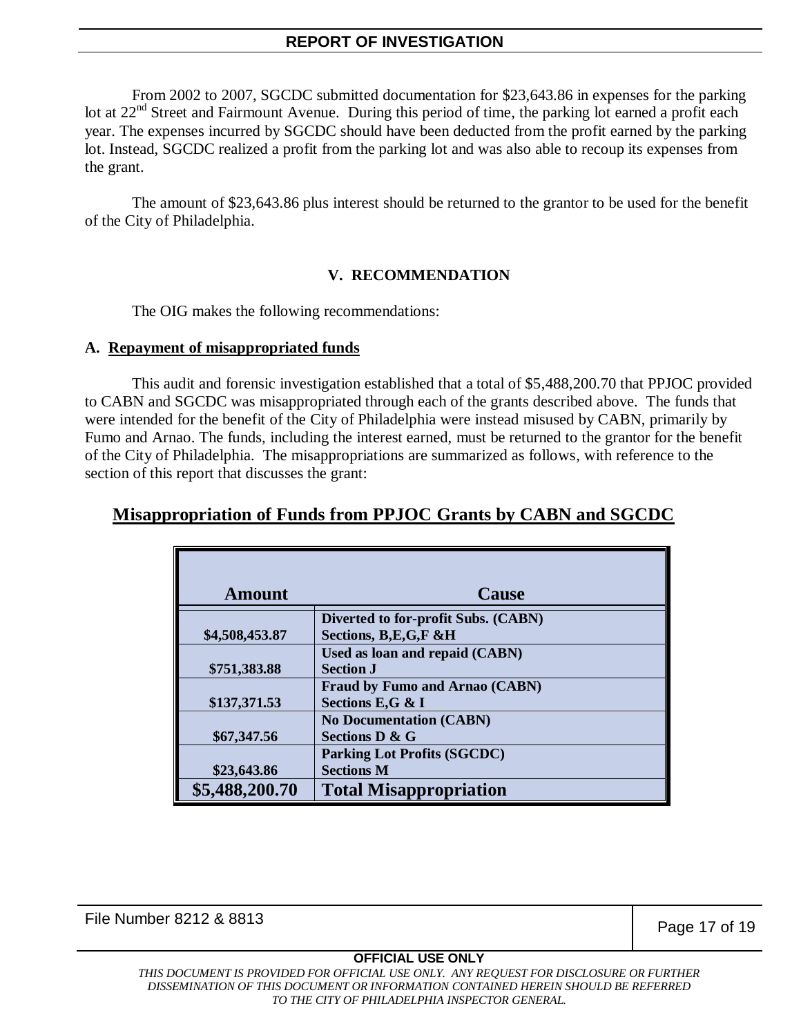From 2002 to 2007, SGCDC submitted documentation for \$23,643.86 in expenses for the parking lot at 22<sup>nd</sup> Street and Fairmount Avenue. During this period of time, the parking lot earned a profit each year. The expenses incurred by SGCDC should have been deducted from the profit earned by the parking lot. Instead, SGCDC realized a profit from the parking lot and was also able to recoup its expenses from the grant.

The amount of \$23,643.86 plus interest should be returned to the grantor to be used for the benefit of the City of Philadelphia.

#### **V. RECOMMENDATION**

The OIG makes the following recommendations:

#### **A. Repayment of misappropriated funds**

This audit and forensic investigation established that a total of \$5,488,200.70 that PPJOC provided to CABN and SGCDC was misappropriated through each of the grants described above. The funds that were intended for the benefit of the City of Philadelphia were instead misused by CABN, primarily by Fumo and Arnao. The funds, including the interest earned, must be returned to the grantor for the benefit of the City of Philadelphia. The misappropriations are summarized as follows, with reference to the section of this report that discusses the grant:

# **Misappropriation of Funds from PPJOC Grants by CABN and SGCDC**

| <b>Amount</b>  | Cause                                 |
|----------------|---------------------------------------|
|                | Diverted to for-profit Subs. (CABN)   |
| \$4,508,453.87 | Sections, B,E,G,F &H                  |
|                | Used as loan and repaid (CABN)        |
| \$751,383.88   | <b>Section J</b>                      |
|                | <b>Fraud by Fumo and Arnao (CABN)</b> |
| \$137,371.53   | Sections E,G & I                      |
|                | <b>No Documentation (CABN)</b>        |
| \$67,347.56    | <b>Sections D &amp; G</b>             |
|                | <b>Parking Lot Profits (SGCDC)</b>    |
| \$23,643.86    | <b>Sections M</b>                     |
| \$5,488,200.70 | <b>Total Misappropriation</b>         |

File Number 8212 & 8813 **Page 17 of 19** 

#### **OFFICIAL USE ONLY**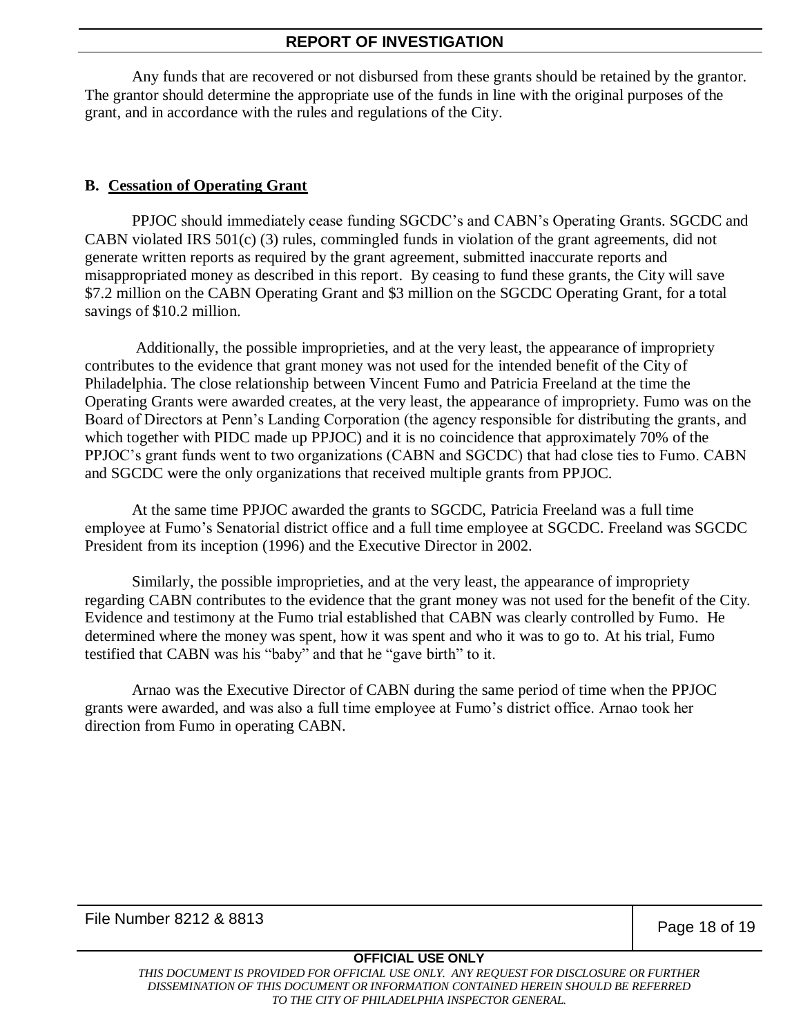Any funds that are recovered or not disbursed from these grants should be retained by the grantor. The grantor should determine the appropriate use of the funds in line with the original purposes of the grant, and in accordance with the rules and regulations of the City.

# **B. Cessation of Operating Grant**

PPJOC should immediately cease funding SGCDC's and CABN's Operating Grants. SGCDC and CABN violated IRS 501(c) (3) rules, commingled funds in violation of the grant agreements, did not generate written reports as required by the grant agreement, submitted inaccurate reports and misappropriated money as described in this report. By ceasing to fund these grants, the City will save \$7.2 million on the CABN Operating Grant and \$3 million on the SGCDC Operating Grant, for a total savings of \$10.2 million.

Additionally, the possible improprieties, and at the very least, the appearance of impropriety contributes to the evidence that grant money was not used for the intended benefit of the City of Philadelphia. The close relationship between Vincent Fumo and Patricia Freeland at the time the Operating Grants were awarded creates, at the very least, the appearance of impropriety. Fumo was on the Board of Directors at Penn's Landing Corporation (the agency responsible for distributing the grants, and which together with PIDC made up PPJOC) and it is no coincidence that approximately 70% of the PPJOC's grant funds went to two organizations (CABN and SGCDC) that had close ties to Fumo. CABN and SGCDC were the only organizations that received multiple grants from PPJOC.

At the same time PPJOC awarded the grants to SGCDC, Patricia Freeland was a full time employee at Fumo's Senatorial district office and a full time employee at SGCDC. Freeland was SGCDC President from its inception (1996) and the Executive Director in 2002.

Similarly, the possible improprieties, and at the very least, the appearance of impropriety regarding CABN contributes to the evidence that the grant money was not used for the benefit of the City. Evidence and testimony at the Fumo trial established that CABN was clearly controlled by Fumo. He determined where the money was spent, how it was spent and who it was to go to. At his trial, Fumo testified that CABN was his "baby" and that he "gave birth" to it.

Arnao was the Executive Director of CABN during the same period of time when the PPJOC grants were awarded, and was also a full time employee at Fumo's district office. Arnao took her direction from Fumo in operating CABN.

File Number 8212 & 8813 **Page 18 of 19** 

#### **OFFICIAL USE ONLY**